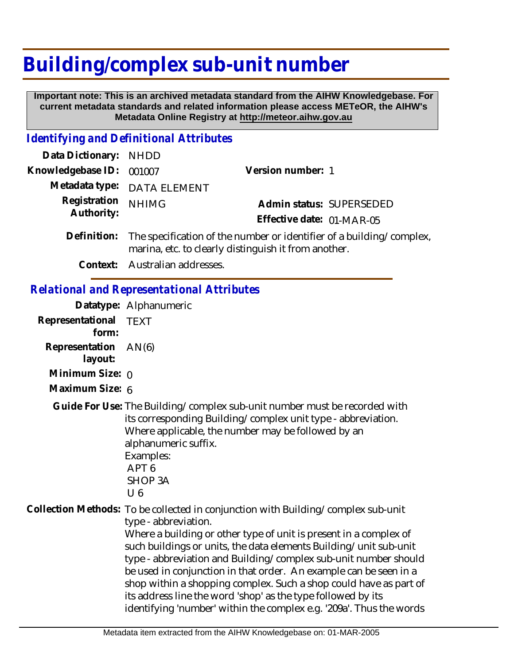## **Building/complex sub-unit number**

 **Important note: This is an archived metadata standard from the AIHW Knowledgebase. For current metadata standards and related information please access METeOR, the AIHW's Metadata Online Registry at http://meteor.aihw.gov.au**

## *Identifying and Definitional Attributes*

| Data Dictionary:           | <b>NHDD</b>                                                                                                                                                                                                                                                                         |                                                                                                                                                                                                                                                                                                                                                                                                                                                                                                                                                                                 |  |
|----------------------------|-------------------------------------------------------------------------------------------------------------------------------------------------------------------------------------------------------------------------------------------------------------------------------------|---------------------------------------------------------------------------------------------------------------------------------------------------------------------------------------------------------------------------------------------------------------------------------------------------------------------------------------------------------------------------------------------------------------------------------------------------------------------------------------------------------------------------------------------------------------------------------|--|
| Knowledgebase ID:          | 001007                                                                                                                                                                                                                                                                              | Version number: 1                                                                                                                                                                                                                                                                                                                                                                                                                                                                                                                                                               |  |
| Metadata type:             | <b>DATA ELEMENT</b>                                                                                                                                                                                                                                                                 |                                                                                                                                                                                                                                                                                                                                                                                                                                                                                                                                                                                 |  |
| Registration<br>Authority: | <b>NHIMG</b>                                                                                                                                                                                                                                                                        | Admin status: SUPERSEDED<br>Effective date: 01-MAR-05                                                                                                                                                                                                                                                                                                                                                                                                                                                                                                                           |  |
| Definition:                | The specification of the number or identifier of a building/complex,<br>marina, etc. to clearly distinguish it from another.                                                                                                                                                        |                                                                                                                                                                                                                                                                                                                                                                                                                                                                                                                                                                                 |  |
| Context:                   | Australian addresses.                                                                                                                                                                                                                                                               |                                                                                                                                                                                                                                                                                                                                                                                                                                                                                                                                                                                 |  |
|                            | <b>Relational and Representational Attributes</b>                                                                                                                                                                                                                                   |                                                                                                                                                                                                                                                                                                                                                                                                                                                                                                                                                                                 |  |
|                            | Datatype: Alphanumeric                                                                                                                                                                                                                                                              |                                                                                                                                                                                                                                                                                                                                                                                                                                                                                                                                                                                 |  |
| Representational<br>form:  | <b>TEXT</b>                                                                                                                                                                                                                                                                         |                                                                                                                                                                                                                                                                                                                                                                                                                                                                                                                                                                                 |  |
| Representation<br>layout:  | AN(6)                                                                                                                                                                                                                                                                               |                                                                                                                                                                                                                                                                                                                                                                                                                                                                                                                                                                                 |  |
| Minimum Size: 0            |                                                                                                                                                                                                                                                                                     |                                                                                                                                                                                                                                                                                                                                                                                                                                                                                                                                                                                 |  |
| Maximum Size: 6            |                                                                                                                                                                                                                                                                                     |                                                                                                                                                                                                                                                                                                                                                                                                                                                                                                                                                                                 |  |
|                            | Guide For Use: The Building/complex sub-unit number must be recorded with<br>its corresponding Building/complex unit type - abbreviation.<br>Where applicable, the number may be followed by an<br>alphanumeric suffix.<br>Examples:<br>APT <sub>6</sub><br><b>SHOP 3A</b><br>$U_6$ |                                                                                                                                                                                                                                                                                                                                                                                                                                                                                                                                                                                 |  |
|                            | type - abbreviation.                                                                                                                                                                                                                                                                | Collection Methods: To be collected in conjunction with Building/complex sub-unit<br>Where a building or other type of unit is present in a complex of<br>such buildings or units, the data elements Building/unit sub-unit<br>type - abbreviation and Building/complex sub-unit number should<br>be used in conjunction in that order. An example can be seen in a<br>shop within a shopping complex. Such a shop could have as part of<br>its address line the word 'shop' as the type followed by its<br>identifying 'number' within the complex e.g. '209a'. Thus the words |  |